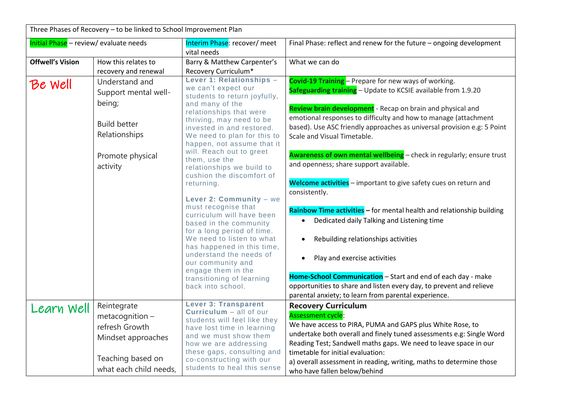| Three Phases of Recovery - to be linked to School Improvement Plan |                                                                                                                          |                                                                                                                                                                                                                                                                                                                                                                                                                                                                                                                                                                                                                                                  |                                                                                                                                                                                                                                                                                                                                                                                                                                                                                                                                                                                                                                                                                                                                                                                                                                              |  |  |
|--------------------------------------------------------------------|--------------------------------------------------------------------------------------------------------------------------|--------------------------------------------------------------------------------------------------------------------------------------------------------------------------------------------------------------------------------------------------------------------------------------------------------------------------------------------------------------------------------------------------------------------------------------------------------------------------------------------------------------------------------------------------------------------------------------------------------------------------------------------------|----------------------------------------------------------------------------------------------------------------------------------------------------------------------------------------------------------------------------------------------------------------------------------------------------------------------------------------------------------------------------------------------------------------------------------------------------------------------------------------------------------------------------------------------------------------------------------------------------------------------------------------------------------------------------------------------------------------------------------------------------------------------------------------------------------------------------------------------|--|--|
| Initial Phase - review/ evaluate needs                             |                                                                                                                          | Interim Phase: recover/ meet<br>vital needs                                                                                                                                                                                                                                                                                                                                                                                                                                                                                                                                                                                                      | Final Phase: reflect and renew for the future - ongoing development                                                                                                                                                                                                                                                                                                                                                                                                                                                                                                                                                                                                                                                                                                                                                                          |  |  |
| <b>Offwell's Vision</b>                                            | How this relates to<br>recovery and renewal                                                                              | Barry & Matthew Carpenter's<br>Recovery Curriculum*                                                                                                                                                                                                                                                                                                                                                                                                                                                                                                                                                                                              | What we can do                                                                                                                                                                                                                                                                                                                                                                                                                                                                                                                                                                                                                                                                                                                                                                                                                               |  |  |
| Be well                                                            | Understand and<br>Support mental well-<br>being;<br><b>Build better</b><br>Relationships<br>Promote physical<br>activity | Lever 1: Relationships -<br>we can't expect our<br>students to return joyfully,<br>and many of the<br>relationships that were<br>thriving, may need to be<br>invested in and restored.<br>We need to plan for this to<br>happen, not assume that it<br>will. Reach out to greet<br>them, use the<br>relationships we build to<br>cushion the discomfort of<br>returning.<br>Lever 2: Community - we<br>must recognise that<br>curriculum will have been<br>based in the community<br>for a long period of time.<br>We need to listen to what<br>has happened in this time,<br>understand the needs of<br>our community and<br>engage them in the | <b>Covid-19 Training</b> - Prepare for new ways of working.<br>Safeguarding training - Update to KCSIE available from 1.9.20<br>Review brain development - Recap on brain and physical and<br>emotional responses to difficulty and how to manage (attachment<br>based). Use ASC friendly approaches as universal provision e.g: 5 Point<br>Scale and Visual Timetable.<br>Awareness of own mental wellbeing - check in regularly; ensure trust<br>and openness; share support available.<br>Welcome activities - important to give safety cues on return and<br>consistently.<br>Rainbow Time activities - for mental health and relationship building<br>Dedicated daily Talking and Listening time<br>Rebuilding relationships activities<br>Play and exercise activities<br>Home-School Communication - Start and end of each day - make |  |  |
|                                                                    |                                                                                                                          | transitioning of learning<br>back into school.                                                                                                                                                                                                                                                                                                                                                                                                                                                                                                                                                                                                   | opportunities to share and listen every day, to prevent and relieve<br>parental anxiety; to learn from parental experience.                                                                                                                                                                                                                                                                                                                                                                                                                                                                                                                                                                                                                                                                                                                  |  |  |
| Learn Well                                                         | Reintegrate<br>metacognition –<br>refresh Growth<br>Mindset approaches<br>Teaching based on<br>what each child needs,    | <b>Lever 3: Transparent</b><br>$Currium - all of our$<br>students will feel like they<br>have lost time in learning<br>and we must show them<br>how we are addressing<br>these gaps, consulting and<br>co-constructing with our<br>students to heal this sense                                                                                                                                                                                                                                                                                                                                                                                   | <b>Recovery Curriculum</b><br><b>Assessment cycle:</b><br>We have access to PIRA, PUMA and GAPS plus White Rose, to<br>undertake both overall and finely tuned assessments e.g: Single Word<br>Reading Test; Sandwell maths gaps. We need to leave space in our<br>timetable for initial evaluation:<br>a) overall assessment in reading, writing, maths to determine those<br>who have fallen below/behind                                                                                                                                                                                                                                                                                                                                                                                                                                  |  |  |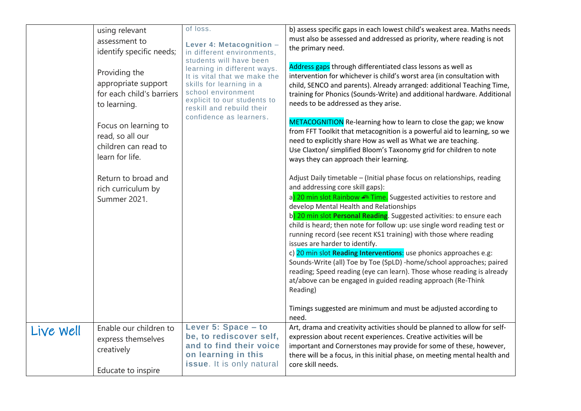|           | using relevant<br>assessment to<br>identify specific needs;<br>Providing the<br>appropriate support<br>for each child's barriers<br>to learning.<br>Focus on learning to<br>read, so all our<br>children can read to<br>learn for life.<br>Return to broad and<br>rich curriculum by<br>Summer 2021. | of loss.<br>Lever 4: Metacognition -<br>in different environments,<br>students will have been<br>learning in different ways.<br>It is vital that we make the<br>skills for learning in a<br>school environment<br>explicit to our students to<br>reskill and rebuild their<br>confidence as learners. | b) assess specific gaps in each lowest child's weakest area. Maths needs<br>must also be assessed and addressed as priority, where reading is not<br>the primary need.<br>Address gaps through differentiated class lessons as well as<br>intervention for whichever is child's worst area (in consultation with<br>child, SENCO and parents). Already arranged: additional Teaching Time,<br>training for Phonics (Sounds-Write) and additional hardware. Additional<br>needs to be addressed as they arise.<br>METACOGNITION Re-learning how to learn to close the gap; we know<br>from FFT Toolkit that metacognition is a powerful aid to learning, so we<br>need to explicitly share How as well as What we are teaching.<br>Use Claxton/ simplified Bloom's Taxonomy grid for children to note<br>ways they can approach their learning.<br>Adjust Daily timetable - (Initial phase focus on relationships, reading<br>and addressing core skill gaps):<br>a) 20 min slot Rainbow <u>n Time.</u> Suggested activities to restore and<br>develop Mental Health and Relationships<br>b) 20 min slot Personal Reading. Suggested activities: to ensure each<br>child is heard; then note for follow up: use single word reading test or<br>running record (see recent KS1 training) with those where reading<br>issues are harder to identify.<br>c) 20 min slot Reading Interventions: use phonics approaches e.g:<br>Sounds-Write (all) Toe by Toe (SpLD) -home/school approaches; paired<br>reading; Speed reading (eye can learn). Those whose reading is already<br>at/above can be engaged in guided reading approach (Re-Think<br>Reading)<br>Timings suggested are minimum and must be adjusted according to<br>need. |
|-----------|------------------------------------------------------------------------------------------------------------------------------------------------------------------------------------------------------------------------------------------------------------------------------------------------------|-------------------------------------------------------------------------------------------------------------------------------------------------------------------------------------------------------------------------------------------------------------------------------------------------------|----------------------------------------------------------------------------------------------------------------------------------------------------------------------------------------------------------------------------------------------------------------------------------------------------------------------------------------------------------------------------------------------------------------------------------------------------------------------------------------------------------------------------------------------------------------------------------------------------------------------------------------------------------------------------------------------------------------------------------------------------------------------------------------------------------------------------------------------------------------------------------------------------------------------------------------------------------------------------------------------------------------------------------------------------------------------------------------------------------------------------------------------------------------------------------------------------------------------------------------------------------------------------------------------------------------------------------------------------------------------------------------------------------------------------------------------------------------------------------------------------------------------------------------------------------------------------------------------------------------------------------------------------------------------------------------------------------------------------------|
| Live Well | Enable our children to<br>express themselves<br>creatively<br>Educate to inspire                                                                                                                                                                                                                     | Lever 5: Space - to<br>be, to rediscover self,<br>and to find their voice<br>on learning in this<br>issue. It is only natural                                                                                                                                                                         | Art, drama and creativity activities should be planned to allow for self-<br>expression about recent experiences. Creative activities will be<br>important and Cornerstones may provide for some of these, however,<br>there will be a focus, in this initial phase, on meeting mental health and<br>core skill needs.                                                                                                                                                                                                                                                                                                                                                                                                                                                                                                                                                                                                                                                                                                                                                                                                                                                                                                                                                                                                                                                                                                                                                                                                                                                                                                                                                                                                           |